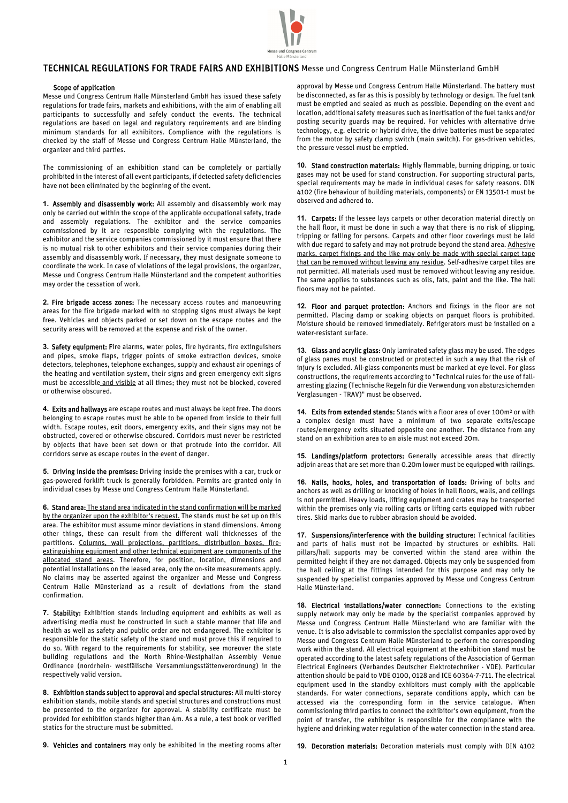

## TECHNICAL REGULATIONS FOR TRADE FAIRS AND EXHIBITIONS Messe und Congress Centrum Halle Münsterland GmbH

## Scope of application

Messe und Congress Centrum Halle Münsterland GmbH has issued these safety regulations for trade fairs, markets and exhibitions, with the aim of enabling all participants to successfully and safely conduct the events. The technical regulations are based on legal and regulatory requirements and are binding minimum standards for all exhibitors. Compliance with the regulations is checked by the staff of Messe und Congress Centrum Halle Münsterland, the organizer and third parties.

The commissioning of an exhibition stand can be completely or partially prohibited in the interest of all event participants, if detected safety deficiencies have not been eliminated by the beginning of the event.

**1.** Assembly and disassembly work: All assembly and disassembly work may only be carried out within the scope of the applicable occupational safety, trade and assembly regulations. The exhibitor and the service companies commissioned by it are responsible complying with the regulations. The exhibitor and the service companies commissioned by it must ensure that there is no mutual risk to other exhibitors and their service companies during their assembly and disassembly work. If necessary, they must designate someone to coordinate the work. In case of violations of the legal provisions, the organizer, Messe und Congress Centrum Halle Münsterland and the competent authorities may order the cessation of work.

**2.** Fire brigade access zones: The necessary access routes and manoeuvring areas for the fire brigade marked with no stopping signs must always be kept free. Vehicles and objects parked or set down on the escape routes and the security areas will be removed at the expense and risk of the owner.

**3.** Safety equipment: Fire alarms, water poles, fire hydrants, fire extinguishers and pipes, smoke flaps, trigger points of smoke extraction devices, smoke detectors, telephones, telephone exchanges, supply and exhaust air openings of the heating and ventilation system, their signs and green emergency exit signs must be accessible and visible at all times; they must not be blocked, covered or otherwise obscured.

**4.** Exits and hallways are escape routes and must always be kept free. The doors belonging to escape routes must be able to be opened from inside to their full width. Escape routes, exit doors, emergency exits, and their signs may not be obstructed, covered or otherwise obscured. Corridors must never be restricted by objects that have been set down or that protrude into the corridor. All corridors serve as escape routes in the event of danger.

**5.** Driving inside the premises: Driving inside the premises with a car, truck or gas-powered forklift truck is generally forbidden. Permits are granted only in individual cases by Messe und Congress Centrum Halle Münsterland.

**6.** Stand area: The stand area indicated in the stand confirmation will be marked by the organizer upon the exhibitor's request. The stands must be set up on this area. The exhibitor must assume minor deviations in stand dimensions. Among other things, these can result from the different wall thicknesses of the partitions. Columns, wall projections, partitions, distribution boxes, fireextinguishing equipment and other technical equipment are components of the allocated stand areas. Therefore, for position, location, dimensions and potential installations on the leased area, only the on-site measurements apply. No claims may be asserted against the organizer and Messe und Congress Centrum Halle Münsterland as a result of deviations from the stand confirmation.

**7.** Stability: Exhibition stands including equipment and exhibits as well as advertising media must be constructed in such a stable manner that life and health as well as safety and public order are not endangered. The exhibitor is responsible for the static safety of the stand und must prove this if required to do so. With regard to the requirements for stability, see moreover the state building regulations and the North Rhine-Westphalian Assembly Venue Ordinance (nordrhein- westfälische Versammlungsstättenverordnung) in the respectively valid version.

**8.** Exhibition stands subject to approval and special structures: All multi-storey exhibition stands, mobile stands and special structures and constructions must be presented to the organizer for approval. A stability certificate must be provided for exhibition stands higher than 4m. As a rule, a test book or verified statics for the structure must be submitted.

approval by Messe und Congress Centrum Halle Münsterland. The battery must be disconnected, as far as this is possibly by technology or design. The fuel tank must be emptied and sealed as much as possible. Depending on the event and location, additional safety measures such as inertisation of the fuel tanks and/or posting security guards may be required. For vehicles with alternative drive technology, e.g. electric or hybrid drive, the drive batteries must be separated from the motor by safety clamp switch (main switch). For gas-driven vehicles, the pressure vessel must be emptied.

**10.** Stand construction materials: Highly flammable, burning dripping, or toxic gases may not be used for stand construction. For supporting structural parts, special requirements may be made in individual cases for safety reasons. DIN 4102 (fire behaviour of building materials, components) or EN 13501-1 must be observed and adhered to.

**11.** Carpets: If the lessee lays carpets or other decoration material directly on the hall floor, it must be done in such a way that there is no risk of slipping, tripping or falling for persons. Carpets and other floor coverings must be laid with due regard to safety and may not protrude beyond the stand area. Adhesive marks, carpet fixings and the like may only be made with special carpet tape that can be removed without leaving any residue. Self-adhesive carpet tiles are not permitted. All materials used must be removed without leaving any residue. The same applies to substances such as oils, fats, paint and the like. The hall floors may not be painted.

**12.** Floor and parquet protection: Anchors and fixings in the floor are not permitted. Placing damp or soaking objects on parquet floors is prohibited. Moisture should be removed immediately. Refrigerators must be installed on a water-resistant surface.

**13.** Glass and acrylic glass: Only laminated safety glass may be used. The edges of glass panes must be constructed or protected in such a way that the risk of injury is excluded. All-glass components must be marked at eye level. For glass constructions, the requirements according to "Technical rules for the use of fallarresting glazing (Technische Regeln für die Verwendung von absturzsichernden Verglasungen - TRAV)" must be observed.

**14.** Exits from extended stands: Stands with a floor area of over 100m² or with a complex design must have a minimum of two separate exits/escape routes/emergency exits situated opposite one another. The distance from any stand on an exhibition area to an aisle must not exceed 20m.

**15.** Landings/platform protectors: Generally accessible areas that directly adioin areas that are set more than 0.20m lower must be equipped with railings.

**16.** Nails, hooks, holes, and transportation of loads: Driving of bolts and anchors as well as drilling or knocking of holes in hall floors, walls, and ceilings is not permitted. Heavy loads, lifting equipment and crates may be transported within the premises only via rolling carts or lifting carts equipped with rubber tires. Skid marks due to rubber abrasion should be avoided.

**17.** Suspensions/interference with the building structure: Technical facilities and parts of halls must not be impacted by structures or exhibits. Hall pillars/hall supports may be converted within the stand area within the permitted height if they are not damaged. Objects may only be suspended from the hall ceiling at the fittings intended for this purpose and may only be suspended by specialist companies approved by Messe und Congress Centrum Halle Münsterland.

**18.** Electrical installations/water connection: Connections to the existing supply network may only be made by the specialist companies approved by Messe und Congress Centrum Halle Münsterland who are familiar with the venue. It is also advisable to commission the specialist companies approved by Messe und Congress Centrum Halle Münsterland to perform the corresponding work within the stand. All electrical equipment at the exhibition stand must be operated according to the latest safety regulations of the Association of German Electrical Engineers (Verbandes Deutscher Elektrotechniker - VDE). Particular attention should be paid to VDE 0100, 0128 and ICE 60364-7-711. The electrical equipment used in the standby exhibitors must comply with the applicable standards. For water connections, separate conditions apply, which can be accessed via the corresponding form in the service catalogue. When commissioning third parties to connect the exhibitor's own equipment, from the point of transfer, the exhibitor is responsible for the compliance with the hygiene and drinking water regulation of the water connection in the stand area.

**9.** Vehicles and containers may only be exhibited in the meeting rooms after

**19.** Decoration materials: Decoration materials must comply with DIN 4102